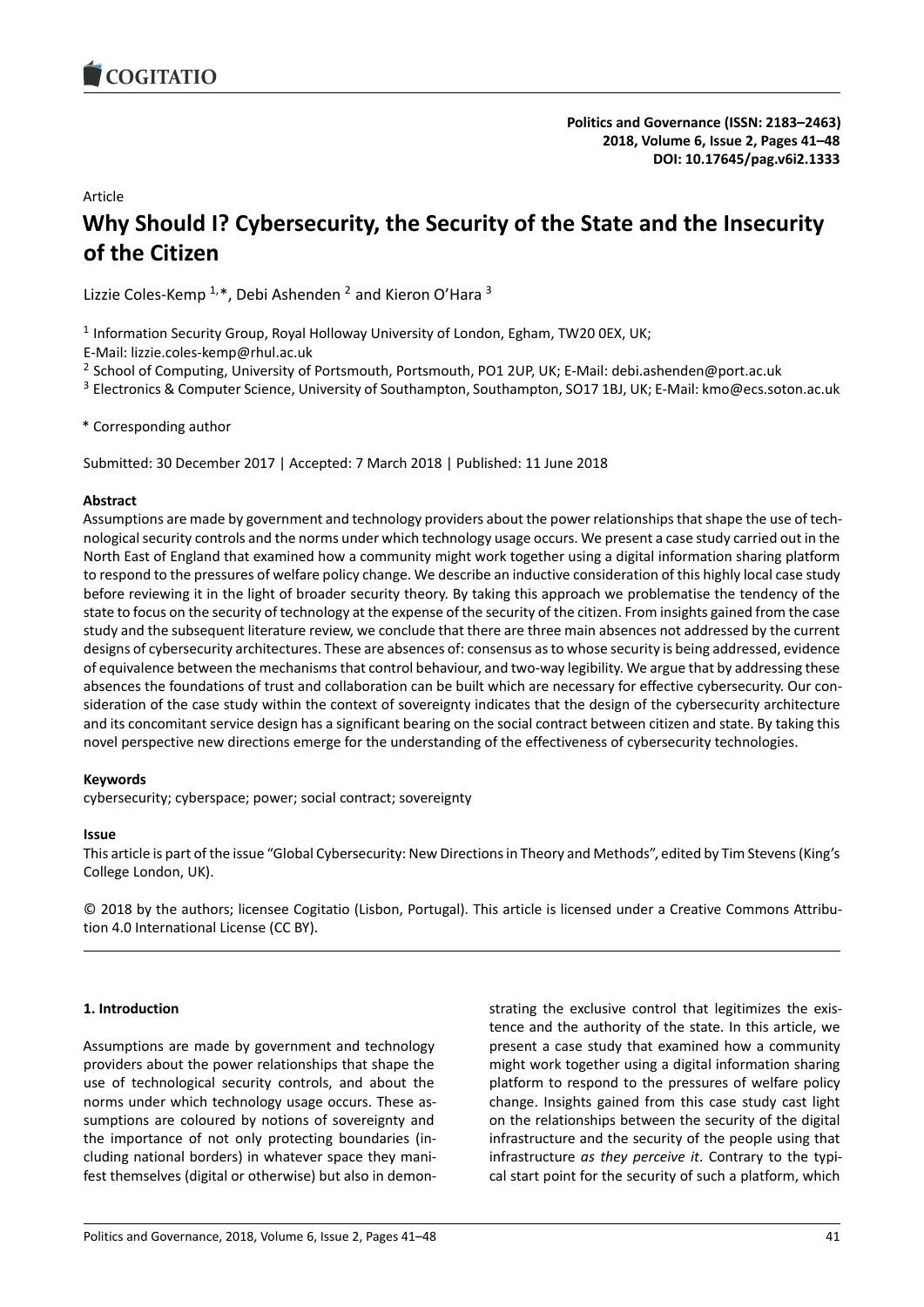<span id="page-0-0"></span>

**Politics and Governance (ISSN: 2183–2463) 2018, Volume 6, Issue 2, Pages 41–48 DOI: 10.17645/pag.v6i2.1333**

Article

# **Why Should I? Cybersecurity, the Security of the State and the Insecurity of the Citizen**

Lizzie Coles-Kemp  $1, *$ , Debi Ashenden  $^2$  and Kieron O'Hara  $^3$ 

<sup>1</sup> Information Security Group, Royal Holloway University of London, Egham, TW20 0EX, UK;

E-Mail: lizzie.coles-kemp@rhul.ac.uk

<sup>2</sup> School of Computing, University of Portsmouth, Portsmouth, PO1 2UP, UK; E-Mail: debi.ashenden@port.ac.uk

<sup>3</sup> Electronics & Computer Science, University of Southampton, Southampton, SO17 1BJ, UK; E-Mail: kmo@ecs.soton.ac.uk

\* Corresponding author

Submitted: 30 December 2017 | Accepted: 7 March 2018 | Published: 11 June 2018

#### **Abstract**

Assumptions are made by government and technology providers about the power relationships that shape the use of technological security controls and the norms under which technology usage occurs. We present a case study carried out in the North East of England that examined how a community might work together using a digital information sharing platform to respond to the pressures of welfare policy change. We describe an inductive consideration of this highly local case study before reviewing it in the light of broader security theory. By taking this approach we problematise the tendency of the state to focus on the security of technology at the expense of the security of the citizen. From insights gained from the case study and the subsequent literature review, we conclude that there are three main absences not addressed by the current designs of cybersecurity architectures. These are absences of: consensus as to whose security is being addressed, evidence of equivalence between the mechanisms that control behaviour, and two-way legibility. We argue that by addressing these absences the foundations of trust and collaboration can be built which are necessary for effective cybersecurity. Our consideration of the case study within the context of sovereignty indicates that the design of the cybersecurity architecture and its concomitant service design has a significant bearing on the social contract between citizen and state. By taking this novel perspective new directions emerge for the understanding of the effectiveness of cybersecurity technologies.

## **Keywords**

cybersecurity; cyberspace; power; social contract; sovereignty

#### **Issue**

This article is part of the issue "Global Cybersecurity: New Directions in Theory and Methods", edited by Tim Stevens (King's College London, UK).

© 2018 by the authors; licensee Cogitatio (Lisbon, Portugal). This article is licensed under a Creative Commons Attribution 4.0 International License (CC BY).

## **1. Introduction**

Assumptions are made by government and technology providers about the power relationships that shape the use of technological security controls, and about the norms under which technology usage occurs. These assumptions are coloured by notions of sovereignty and the importance of not only protecting boundaries (including national borders) in whatever space they manifest themselves (digital or otherwise) but also in demonstrating the exclusive control that legitimizes the existence and the authority of the state. In this article, we present a case study that examined how a community might work together using a digital information sharing platform to respond to the pressures of welfare policy change. Insights gained from this case study cast light on the relationships between the security of the digital infrastructure and the security of the people using that infrastructure *as they perceive it*. Contrary to the typical start point for the security of such a platform, which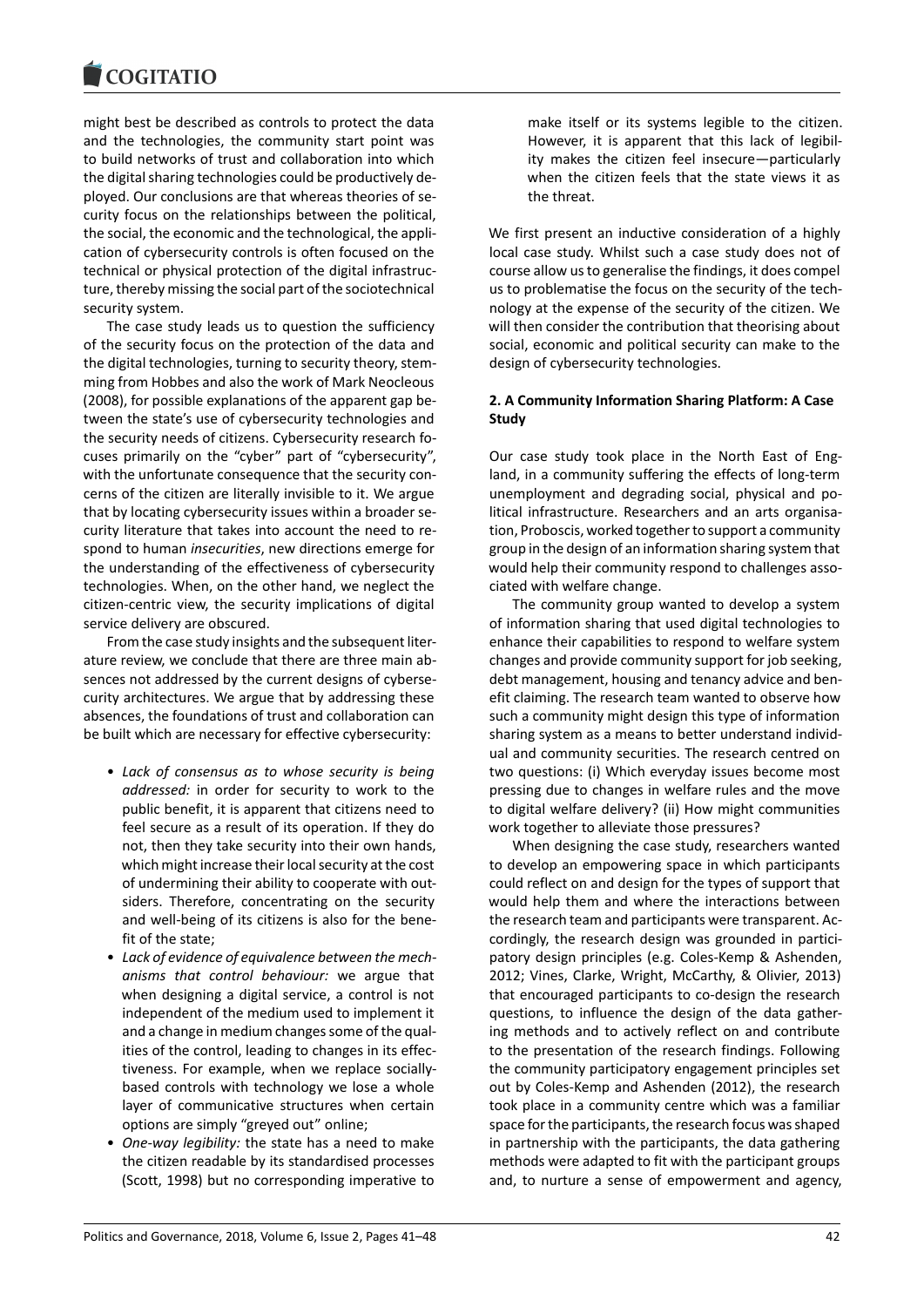

might best be described as controls to protect the data and the technologies, the community start point was to build networks of trust and collaboration into which the digital sharing technologies could be productively deployed. Our conclusions are that whereas theories of security focus on the relationships between the political, the social, the economic and the technological, the application of cybersecurity controls is often focused on the technical or physical protection of the digital infrastructure, thereby missing the social part of the sociotechnical security system.

The case study leads us to question the sufficiency of the security focus on the protection of the data and the digital technologies, turning to security theory, stemming from Hobbes and also the work of Mark Neocleous (2008), for possible explanations of the apparent gap between the state's use of cybersecurity technologies and the security needs of citizens. Cybersecurity research focuses primarily on the "cyber" part of "cybersecurity", with the unfortunate consequence that the security concerns of the citizen are literally invisible to it. We argue that by locating cybersecurity issues within a broader security literature that takes into account the need to respond to human *insecurities*, new directions emerge for the understanding of the effectiveness of cybersecurity technologies. When, on the other hand, we neglect the citizen-centric view, the security implications of digital service delivery are obscured.

From the case study insights and the subsequent literature review, we conclude that there are three main absences not addressed by the current designs of cybersecurity architectures. We argue that by addressing these absences, the foundations of trust and collaboration can be built which are necessary for effective cybersecurity:

- *Lack of consensus as to whose security is being addressed:* in order for security to work to the public benefit, it is apparent that citizens need to feel secure as a result of its operation. If they do not, then they take security into their own hands, which might increase their local security at the cost of undermining their ability to cooperate with outsiders. Therefore, concentrating on the security and well-being of its citizens is also for the benefit of the state;
- *Lack of evidence of equivalence between the mechanisms that control behaviour:* we argue that when designing a digital service, a control is not independent of the medium used to implement it and a change in medium changes some of the qualities of the control, leading to changes in its effectiveness. For example, when we replace sociallybased controls with technology we lose a whole layer of communicative structures when certain options are simply "greyed out" online;
- *One-way legibility:* the state has a need to make the citizen readable by its standardised processes (Scott, 1998) but no corresponding imperative to

make itself or its systems legible to the citizen. However, it is apparent that this lack of legibility makes the citizen feel insecure―particularly when the citizen feels that the state views it as the threat.

We first present an inductive consideration of a highly local case study. Whilst such a case study does not of course allow us to generalise the findings, it does compel us to problematise the focus on the security of the technology at the expense of the security of the citizen. We will then consider the contribution that theorising about social, economic and political security can make to the design of cybersecurity technologies.

## **2. A Community Information Sharing Platform: A Case Study**

Our case study took place in the North East of England, in a community suffering the effects of long-term unemployment and degrading social, physical and political infrastructure. Researchers and an arts organisation, Proboscis, worked together to support a community group in the design of an information sharing system that would help their community respond to challenges associated with welfare change.

The community group wanted to develop a system of information sharing that used digital technologies to enhance their capabilities to respond to welfare system changes and provide community support for job seeking, debt management, housing and tenancy advice and benefit claiming. The research team wanted to observe how such a community might design this type of information sharing system as a means to better understand individual and community securities. The research centred on two questions: (i) Which everyday issues become most pressing due to changes in welfare rules and the move to digital welfare delivery? (ii) How might communities work together to alleviate those pressures?

When designing the case study, researchers wanted to develop an empowering space in which participants could reflect on and design for the types of support that would help them and where the interactions between the research team and participants were transparent. Accordingly, the research design was grounded in participatory design principles (e.g. Coles-Kemp & Ashenden, 2012; Vines, Clarke, Wright, McCarthy, & Olivier, 2013) that encouraged participants to co-design the research questions, to influence the design of the data gathering methods and to actively reflect on and contribute to the presentation of the research findings. Following the community participatory engagement principles set out by Coles-Kemp and Ashenden (2012), the research took place in a community centre which was a familiar space for the participants, the research focus was shaped in partnership with the participants, the data gathering methods were adapted to fit with the participant groups and, to nurture a sense of empowerment and agency,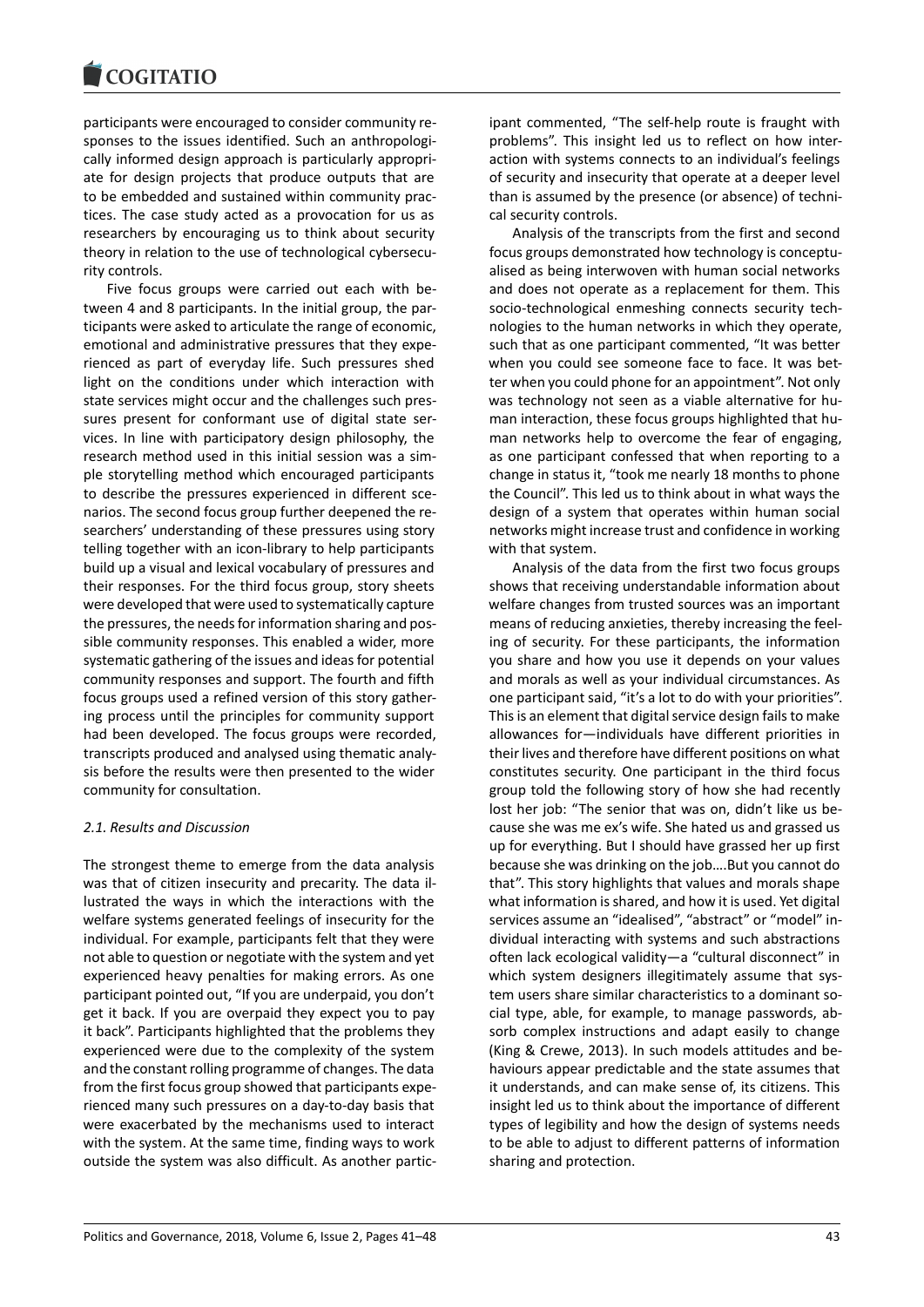participants were encouraged to consider community responses to the issues identified. Such an anthropologically informed design approach is particularly appropriate for design projects that produce outputs that are to be embedded and sustained within community practices. The case study acted as a provocation for us as researchers by encouraging us to think about security theory in relation to the use of technological cybersecurity controls.

Five focus groups were carried out each with between 4 and 8 participants. In the initial group, the participants were asked to articulate the range of economic, emotional and administrative pressures that they experienced as part of everyday life. Such pressures shed light on the conditions under which interaction with state services might occur and the challenges such pressures present for conformant use of digital state services. In line with participatory design philosophy, the research method used in this initial session was a simple storytelling method which encouraged participants to describe the pressures experienced in different scenarios. The second focus group further deepened the researchers' understanding of these pressures using story telling together with an icon-library to help participants build up a visual and lexical vocabulary of pressures and their responses. For the third focus group, story sheets were developed that were used to systematically capture the pressures, the needs for information sharing and possible community responses. This enabled a wider, more systematic gathering of the issues and ideas for potential community responses and support. The fourth and fifth focus groups used a refined version of this story gathering process until the principles for community support had been developed. The focus groups were recorded, transcripts produced and analysed using thematic analysis before the results were then presented to the wider community for consultation.

## *2.1. Results and Discussion*

The strongest theme to emerge from the data analysis was that of citizen insecurity and precarity. The data illustrated the ways in which the interactions with the welfare systems generated feelings of insecurity for the individual. For example, participants felt that they were not able to question or negotiate with the system and yet experienced heavy penalties for making errors. As one participant pointed out, "If you are underpaid, you don't get it back. If you are overpaid they expect you to pay it back". Participants highlighted that the problems they experienced were due to the complexity of the system and the constant rolling programme of changes. The data from the first focus group showed that participants experienced many such pressures on a day-to-day basis that were exacerbated by the mechanisms used to interact with the system. At the same time, finding ways to work outside the system was also difficult. As another partic-

ipant commented, "The self-help route is fraught with problems". This insight led us to reflect on how interaction with systems connects to an individual's feelings of security and insecurity that operate at a deeper level than is assumed by the presence (or absence) of technical security controls.

Analysis of the transcripts from the first and second focus groups demonstrated how technology is conceptualised as being interwoven with human social networks and does not operate as a replacement for them. This socio-technological enmeshing connects security technologies to the human networks in which they operate, such that as one participant commented, "It was better when you could see someone face to face. It was better when you could phone for an appointment". Not only was technology not seen as a viable alternative for human interaction, these focus groups highlighted that human networks help to overcome the fear of engaging, as one participant confessed that when reporting to a change in status it, "took me nearly 18 months to phone the Council". This led us to think about in what ways the design of a system that operates within human social networks might increase trust and confidence in working with that system.

Analysis of the data from the first two focus groups shows that receiving understandable information about welfare changes from trusted sources was an important means of reducing anxieties, thereby increasing the feeling of security. For these participants, the information you share and how you use it depends on your values and morals as well as your individual circumstances. As one participant said, "it's a lot to do with your priorities". This is an element that digital service design fails to make allowances for―individuals have different priorities in their lives and therefore have different positions on what constitutes security. One participant in the third focus group told the following story of how she had recently lost her job: "The senior that was on, didn't like us because she was me ex's wife. She hated us and grassed us up for everything. But I should have grassed her up first because she was drinking on the job….But you cannot do that". This story highlights that values and morals shape what information is shared, and how it is used. Yet digital services assume an "idealised", "abstract" or "model" individual interacting with systems and such abstractions often lack ecological validity―a "cultural disconnect" in which system designers illegitimately assume that system users share similar characteristics to a dominant social type, able, for example, to manage passwords, absorb complex instructions and adapt easily to change (King & Crewe, 2013). In such models attitudes and behaviours appear predictable and the state assumes that it understands, and can make sense of, its citizens. This insight led us to think about the importance of different types of legibility and how the design of systems needs to be able to adjust to different patterns of information sharing and protection.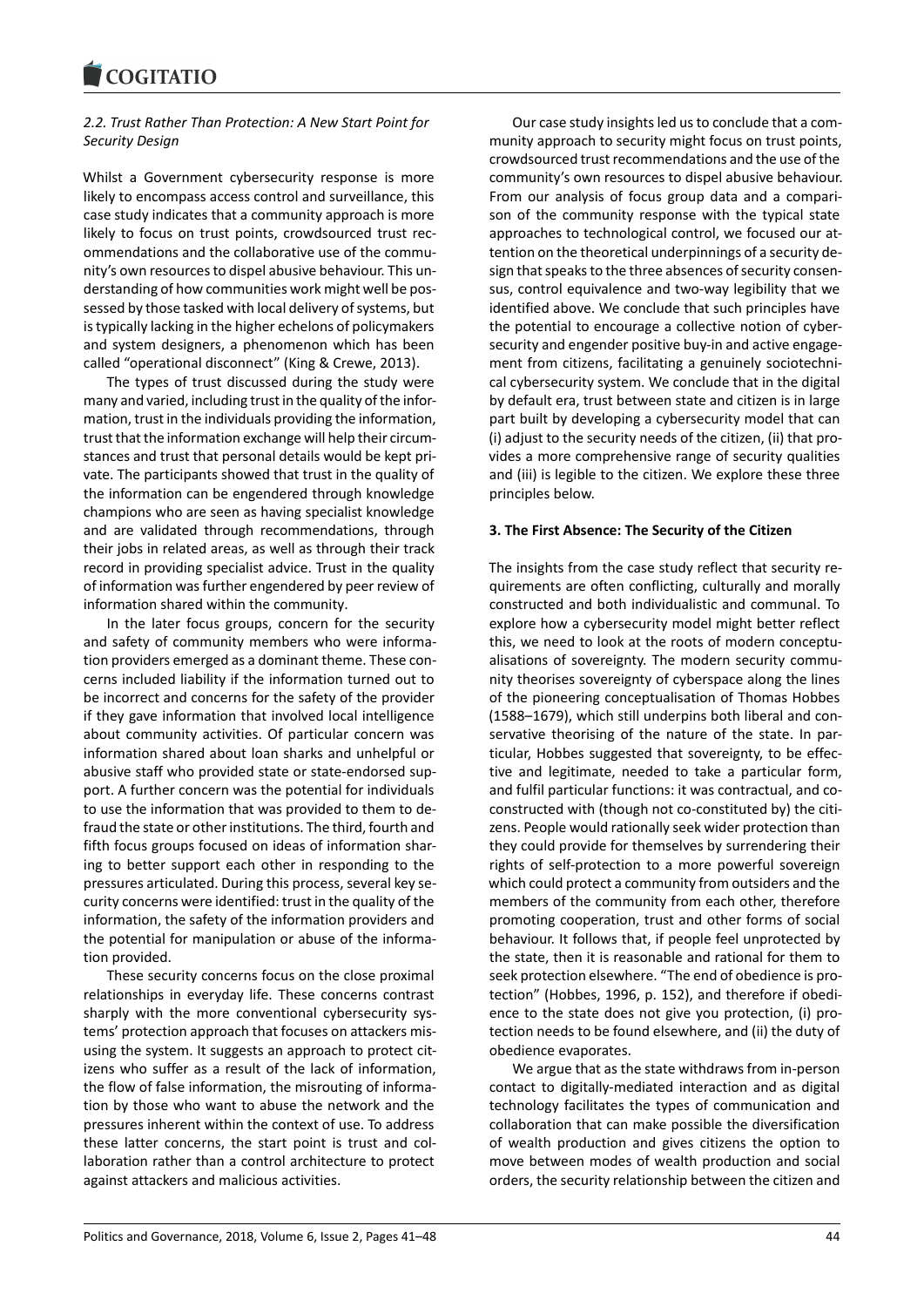# *2.2. Trust Rather Than Protection: A New Start Point for Security Design*

Whilst a Government cybersecurity response is more likely to encompass access control and surveillance, this case study indicates that a community approach is more likely to focus on trust points, crowdsourced trust recommendations and the collaborative use of the community's own resources to dispel abusive behaviour. This understanding of how communities work might well be possessed by those tasked with local delivery of systems, but is typically lacking in the higher echelons of policymakers and system designers, a phenomenon which has been called "operational disconnect" (King & Crewe, 2013).

The types of trust discussed during the study were many and varied, including trust in the quality of the information, trust in the individuals providing the information, trust that the information exchange will help their circumstances and trust that personal details would be kept private. The participants showed that trust in the quality of the information can be engendered through knowledge champions who are seen as having specialist knowledge and are validated through recommendations, through their jobs in related areas, as well as through their track record in providing specialist advice. Trust in the quality of information was further engendered by peer review of information shared within the community.

In the later focus groups, concern for the security and safety of community members who were information providers emerged as a dominant theme. These concerns included liability if the information turned out to be incorrect and concerns for the safety of the provider if they gave information that involved local intelligence about community activities. Of particular concern was information shared about loan sharks and unhelpful or abusive staff who provided state or state-endorsed support. A further concern was the potential for individuals to use the information that was provided to them to defraud the state or other institutions. The third, fourth and fifth focus groups focused on ideas of information sharing to better support each other in responding to the pressures articulated. During this process, several key security concerns were identified: trust in the quality of the information, the safety of the information providers and the potential for manipulation or abuse of the information provided.

These security concerns focus on the close proximal relationships in everyday life. These concerns contrast sharply with the more conventional cybersecurity systems' protection approach that focuses on attackers misusing the system. It suggests an approach to protect citizens who suffer as a result of the lack of information, the flow of false information, the misrouting of information by those who want to abuse the network and the pressures inherent within the context of use. To address these latter concerns, the start point is trust and collaboration rather than a control architecture to protect against attackers and malicious activities.

Our case study insights led us to conclude that a community approach to security might focus on trust points, crowdsourced trust recommendations and the use of the community's own resources to dispel abusive behaviour. From our analysis of focus group data and a comparison of the community response with the typical state approaches to technological control, we focused our attention on the theoretical underpinnings of a security design that speaks to the three absences of security consensus, control equivalence and two-way legibility that we identified above. We conclude that such principles have the potential to encourage a collective notion of cybersecurity and engender positive buy-in and active engagement from citizens, facilitating a genuinely sociotechnical cybersecurity system. We conclude that in the digital by default era, trust between state and citizen is in large part built by developing a cybersecurity model that can (i) adjust to the security needs of the citizen, (ii) that provides a more comprehensive range of security qualities and (iii) is legible to the citizen. We explore these three principles below.

## **3. The First Absence: The Security of the Citizen**

The insights from the case study reflect that security requirements are often conflicting, culturally and morally constructed and both individualistic and communal. To explore how a cybersecurity model might better reflect this, we need to look at the roots of modern conceptualisations of sovereignty. The modern security community theorises sovereignty of cyberspace along the lines of the pioneering conceptualisation of Thomas Hobbes (1588–1679), which still underpins both liberal and conservative theorising of the nature of the state. In particular, Hobbes suggested that sovereignty, to be effective and legitimate, needed to take a particular form, and fulfil particular functions: it was contractual, and coconstructed with (though not co-constituted by) the citizens. People would rationally seek wider protection than they could provide for themselves by surrendering their rights of self-protection to a more powerful sovereign which could protect a community from outsiders and the members of the community from each other, therefore promoting cooperation, trust and other forms of social behaviour. It follows that, if people feel unprotected by the state, then it is reasonable and rational for them to seek protection elsewhere. "The end of obedience is protection" (Hobbes, 1996, p. 152), and therefore if obedience to the state does not give you protection, (i) protection needs to be found elsewhere, and (ii) the duty of obedience evaporates.

We argue that as the state withdraws from in-person contact to digitally-mediated interaction and as digital technology facilitates the types of communication and collaboration that can make possible the diversification of wealth production and gives citizens the option to move between modes of wealth production and social orders, the security relationship between the citizen and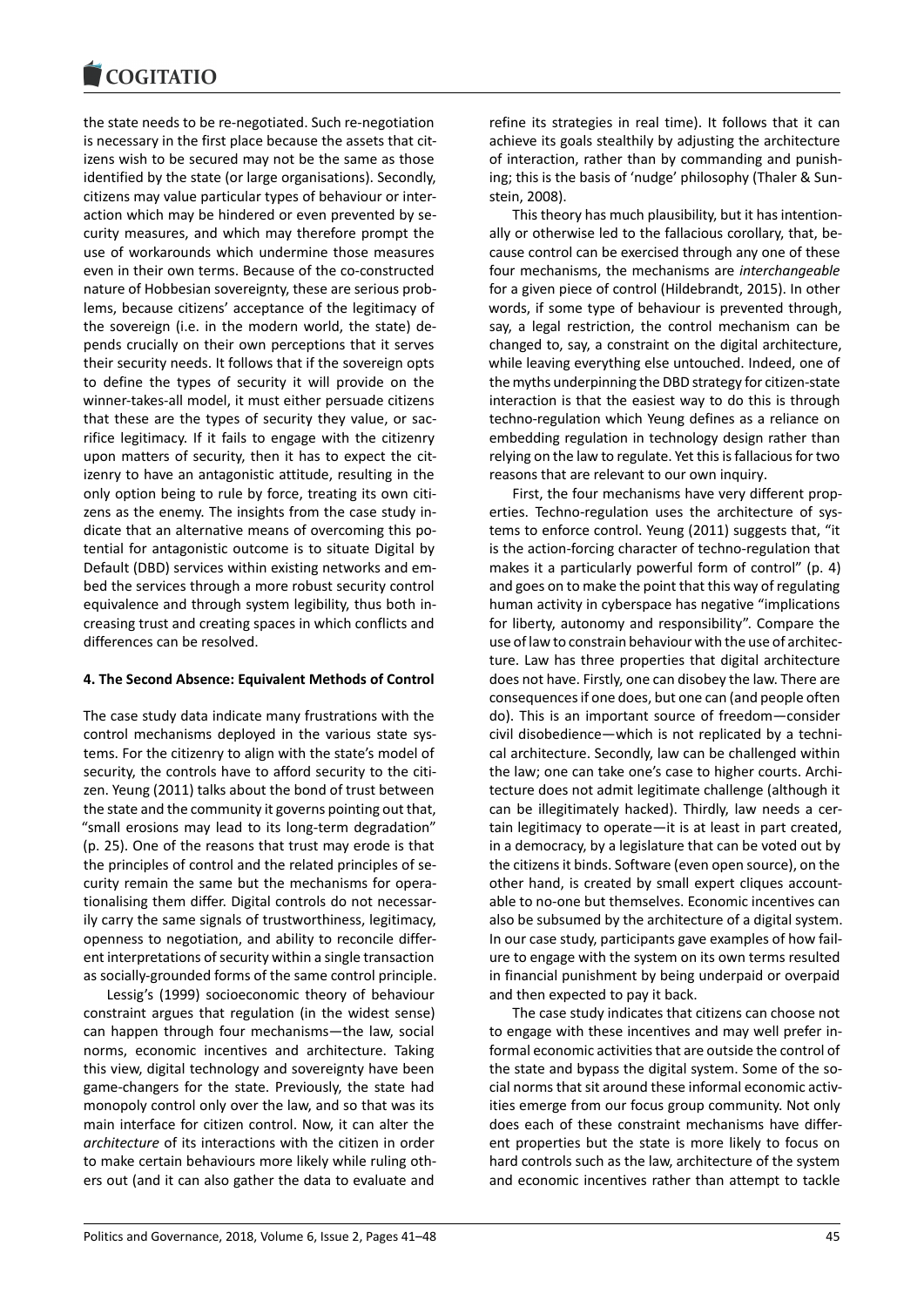the state needs to be re-negotiated. Such re-negotiation is necessary in the first place because the assets that citizens wish to be secured may not be the same as those identified by the state (or large organisations). Secondly, citizens may value particular types of behaviour or interaction which may be hindered or even prevented by security measures, and which may therefore prompt the use of workarounds which undermine those measures even in their own terms. Because of the co-constructed nature of Hobbesian sovereignty, these are serious problems, because citizens' acceptance of the legitimacy of the sovereign (i.e. in the modern world, the state) depends crucially on their own perceptions that it serves their security needs. It follows that if the sovereign opts to define the types of security it will provide on the winner-takes-all model, it must either persuade citizens that these are the types of security they value, or sacrifice legitimacy. If it fails to engage with the citizenry upon matters of security, then it has to expect the citizenry to have an antagonistic attitude, resulting in the only option being to rule by force, treating its own citizens as the enemy. The insights from the case study indicate that an alternative means of overcoming this potential for antagonistic outcome is to situate Digital by Default (DBD) services within existing networks and embed the services through a more robust security control equivalence and through system legibility, thus both increasing trust and creating spaces in which conflicts and differences can be resolved.

## **4. The Second Absence: Equivalent Methods of Control**

The case study data indicate many frustrations with the control mechanisms deployed in the various state systems. For the citizenry to align with the state's model of security, the controls have to afford security to the citizen. Yeung (2011) talks about the bond of trust between the state and the community it governs pointing out that, "small erosions may lead to its long-term degradation" (p. 25). One of the reasons that trust may erode is that the principles of control and the related principles of security remain the same but the mechanisms for operationalising them differ. Digital controls do not necessarily carry the same signals of trustworthiness, legitimacy, openness to negotiation, and ability to reconcile different interpretations of security within a single transaction as socially-grounded forms of the same control principle.

Lessig's (1999) socioeconomic theory of behaviour constraint argues that regulation (in the widest sense) can happen through four mechanisms―the law, social norms, economic incentives and architecture. Taking this view, digital technology and sovereignty have been game-changers for the state. Previously, the state had monopoly control only over the law, and so that was its main interface for citizen control. Now, it can alter the *architecture* of its interactions with the citizen in order to make certain behaviours more likely while ruling others out (and it can also gather the data to evaluate and

refine its strategies in real time). It follows that it can achieve its goals stealthily by adjusting the architecture of interaction, rather than by commanding and punishing; this is the basis of 'nudge' philosophy (Thaler & Sunstein, 2008).

This theory has much plausibility, but it has intentionally or otherwise led to the fallacious corollary, that, because control can be exercised through any one of these four mechanisms, the mechanisms are *interchangeable* for a given piece of control (Hildebrandt, 2015). In other words, if some type of behaviour is prevented through, say, a legal restriction, the control mechanism can be changed to, say, a constraint on the digital architecture, while leaving everything else untouched. Indeed, one of the myths underpinning the DBD strategy for citizen-state interaction is that the easiest way to do this is through techno-regulation which Yeung defines as a reliance on embedding regulation in technology design rather than relying on the law to regulate. Yet this is fallacious for two reasons that are relevant to our own inquiry.

First, the four mechanisms have very different properties. Techno-regulation uses the architecture of systems to enforce control. Yeung (2011) suggests that, "it is the action-forcing character of techno-regulation that makes it a particularly powerful form of control" (p. 4) and goes on to make the point that this way of regulating human activity in cyberspace has negative "implications for liberty, autonomy and responsibility". Compare the use of law to constrain behaviour with the use of architecture. Law has three properties that digital architecture does not have. Firstly, one can disobey the law. There are consequences if one does, but one can (and people often do). This is an important source of freedom―consider civil disobedience―which is not replicated by a technical architecture. Secondly, law can be challenged within the law; one can take one's case to higher courts. Architecture does not admit legitimate challenge (although it can be illegitimately hacked). Thirdly, law needs a certain legitimacy to operate―it is at least in part created, in a democracy, by a legislature that can be voted out by the citizens it binds. Software (even open source), on the other hand, is created by small expert cliques accountable to no-one but themselves. Economic incentives can also be subsumed by the architecture of a digital system. In our case study, participants gave examples of how failure to engage with the system on its own terms resulted in financial punishment by being underpaid or overpaid and then expected to pay it back.

The case study indicates that citizens can choose not to engage with these incentives and may well prefer informal economic activities that are outside the control of the state and bypass the digital system. Some of the social norms that sit around these informal economic activities emerge from our focus group community. Not only does each of these constraint mechanisms have different properties but the state is more likely to focus on hard controls such as the law, architecture of the system and economic incentives rather than attempt to tackle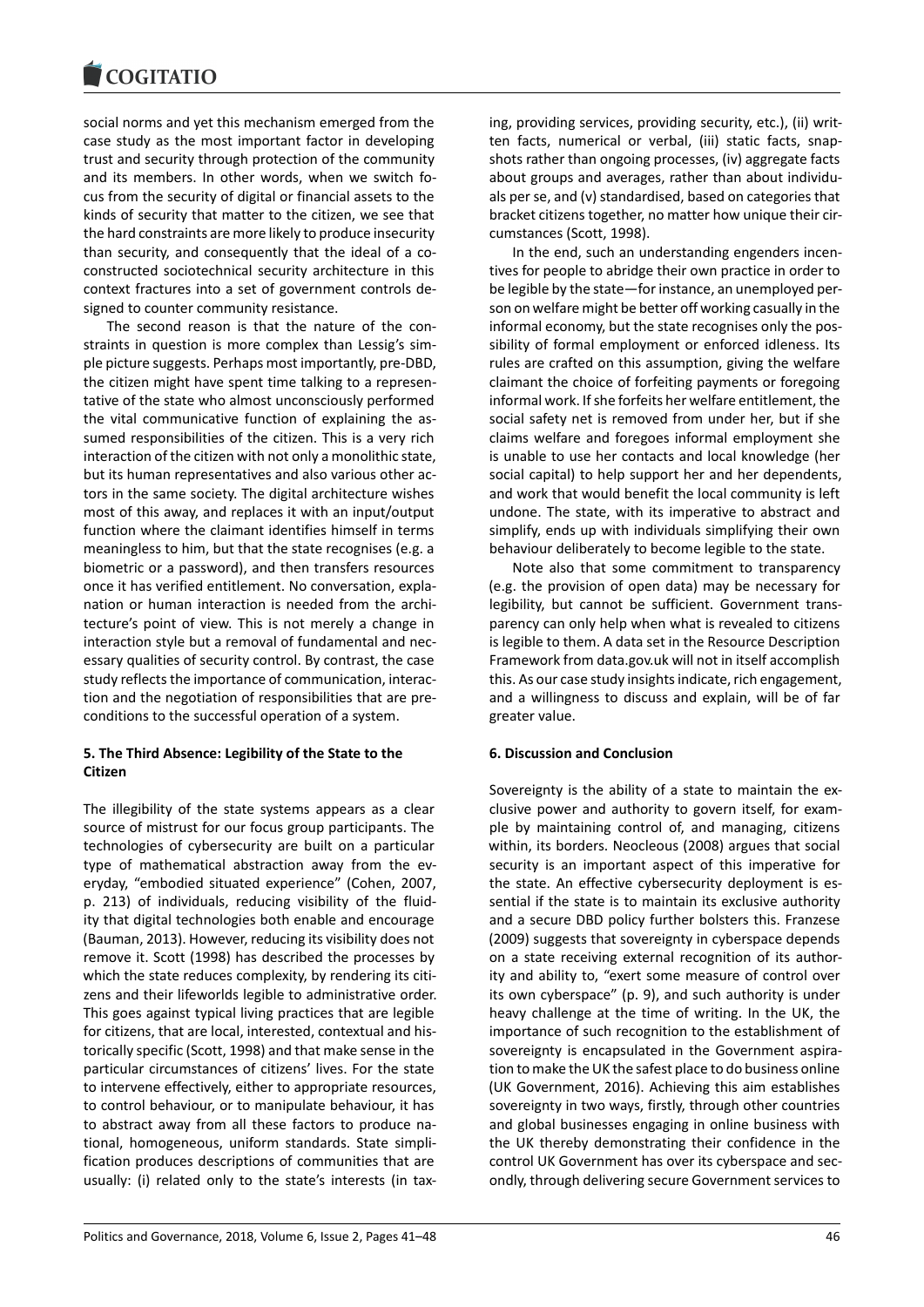social norms and yet this mechanism emerged from the case study as the most important factor in developing trust and security through protection of the community and its members. In other words, when we switch focus from the security of digital or financial assets to the kinds of security that matter to the citizen, we see that the hard constraints are more likely to produce insecurity than security, and consequently that the ideal of a coconstructed sociotechnical security architecture in this context fractures into a set of government controls designed to counter community resistance.

The second reason is that the nature of the constraints in question is more complex than Lessig's simple picture suggests. Perhaps most importantly, pre-DBD, the citizen might have spent time talking to a representative of the state who almost unconsciously performed the vital communicative function of explaining the assumed responsibilities of the citizen. This is a very rich interaction of the citizen with not only a monolithic state, but its human representatives and also various other actors in the same society. The digital architecture wishes most of this away, and replaces it with an input/output function where the claimant identifies himself in terms meaningless to him, but that the state recognises (e.g. a biometric or a password), and then transfers resources once it has verified entitlement. No conversation, explanation or human interaction is needed from the architecture's point of view. This is not merely a change in interaction style but a removal of fundamental and necessary qualities of security control. By contrast, the case study reflects the importance of communication, interaction and the negotiation of responsibilities that are preconditions to the successful operation of a system.

# **5. The Third Absence: Legibility of the State to the Citizen**

The illegibility of the state systems appears as a clear source of mistrust for our focus group participants. The technologies of cybersecurity are built on a particular type of mathematical abstraction away from the everyday, "embodied situated experience" (Cohen, 2007, p. 213) of individuals, reducing visibility of the fluidity that digital technologies both enable and encourage (Bauman, 2013). However, reducing its visibility does not remove it. Scott (1998) has described the processes by which the state reduces complexity, by rendering its citizens and their lifeworlds legible to administrative order. This goes against typical living practices that are legible for citizens, that are local, interested, contextual and historically specific (Scott, 1998) and that make sense in the particular circumstances of citizens' lives. For the state to intervene effectively, either to appropriate resources, to control behaviour, or to manipulate behaviour, it has to abstract away from all these factors to produce national, homogeneous, uniform standards. State simplification produces descriptions of communities that are usually: (i) related only to the state's interests (in taxing, providing services, providing security, etc.), (ii) written facts, numerical or verbal, (iii) static facts, snapshots rather than ongoing processes, (iv) aggregate facts about groups and averages, rather than about individuals per se, and (v) standardised, based on categories that bracket citizens together, no matter how unique their circumstances (Scott, 1998).

In the end, such an understanding engenders incentives for people to abridge their own practice in order to be legible by the state―for instance, an unemployed person on welfare might be better off working casually in the informal economy, but the state recognises only the possibility of formal employment or enforced idleness. Its rules are crafted on this assumption, giving the welfare claimant the choice of forfeiting payments or foregoing informal work. If she forfeits her welfare entitlement, the social safety net is removed from under her, but if she claims welfare and foregoes informal employment she is unable to use her contacts and local knowledge (her social capital) to help support her and her dependents, and work that would benefit the local community is left undone. The state, with its imperative to abstract and simplify, ends up with individuals simplifying their own behaviour deliberately to become legible to the state.

Note also that some commitment to transparency (e.g. the provision of open data) may be necessary for legibility, but cannot be sufficient. Government transparency can only help when what is revealed to citizens is legible to them. A data set in the Resource Description Framework from data.gov.uk will not in itself accomplish this. As our case study insights indicate, rich engagement, and a willingness to discuss and explain, will be of far greater value.

# **6. Discussion and Conclusion**

Sovereignty is the ability of a state to maintain the exclusive power and authority to govern itself, for example by maintaining control of, and managing, citizens within, its borders. Neocleous (2008) argues that social security is an important aspect of this imperative for the state. An effective cybersecurity deployment is essential if the state is to maintain its exclusive authority and a secure DBD policy further bolsters this. Franzese (2009) suggests that sovereignty in cyberspace depends on a state receiving external recognition of its authority and ability to, "exert some measure of control over its own cyberspace" (p. 9), and such authority is under heavy challenge at the time of writing. In the UK, the importance of such recognition to the establishment of sovereignty is encapsulated in the Government aspiration to make the UK the safest place to do business online (UK Government, 2016). Achieving this aim establishes sovereignty in two ways, firstly, through other countries and global businesses engaging in online business with the UK thereby demonstrating their confidence in the control UK Government has over its cyberspace and secondly, through delivering secure Government services to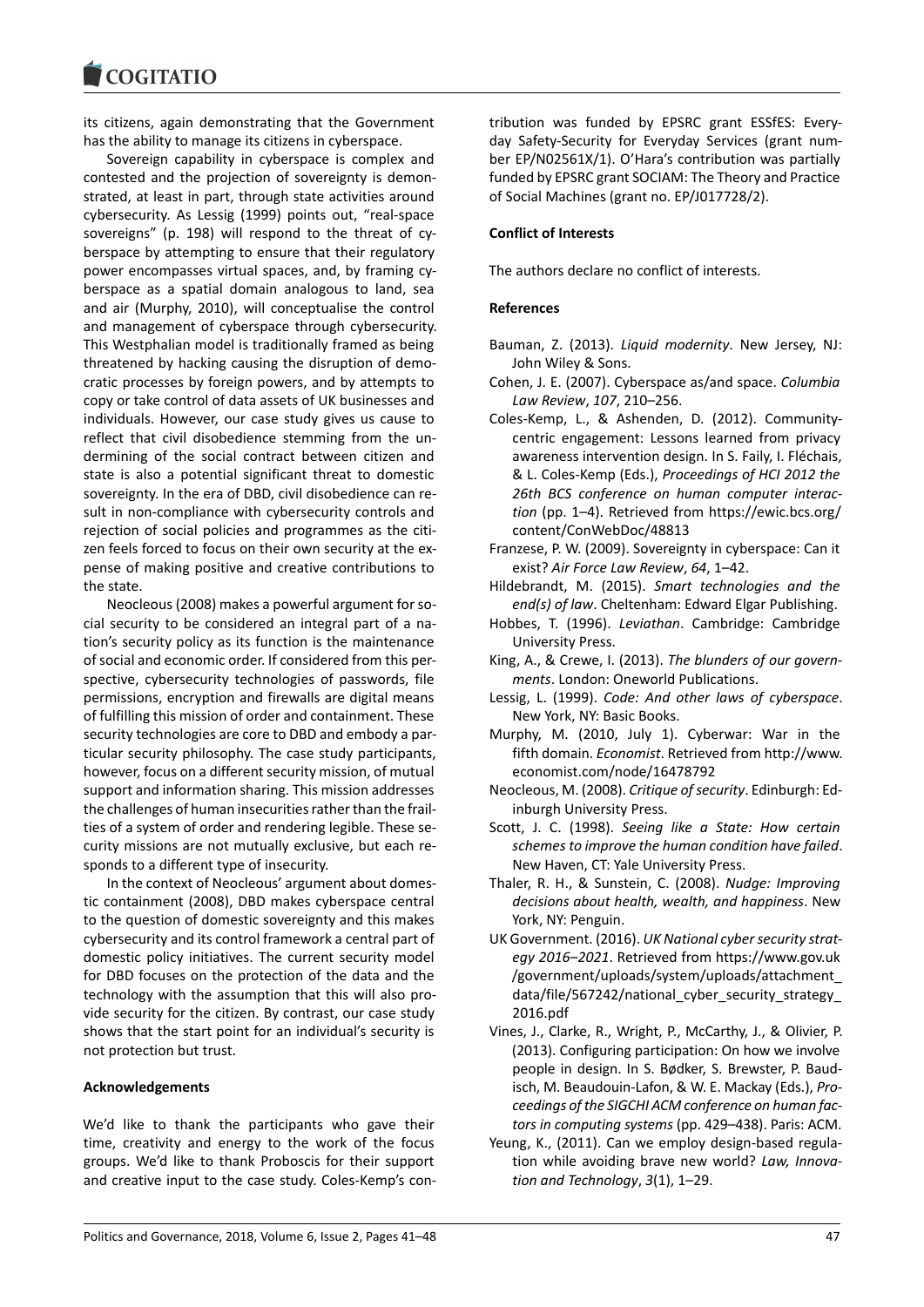its citizens, again demonstrating that the Government has the ability to manage its citizens in cyberspace.

Sovereign capability in cyberspace is complex and contested and the projection of sovereignty is demonstrated, at least in part, through state activities around cybersecurity. As Lessig (1999) points out, "real-space sovereigns" (p. 198) will respond to the threat of cyberspace by attempting to ensure that their regulatory power encompasses virtual spaces, and, by framing cyberspace as a spatial domain analogous to land, sea and air (Murphy, 2010), will conceptualise the control and management of cyberspace through cybersecurity. This Westphalian model is traditionally framed as being threatened by hacking causing the disruption of democratic processes by foreign powers, and by attempts to copy or take control of data assets of UK businesses and individuals. However, our case study gives us cause to reflect that civil disobedience stemming from the undermining of the social contract between citizen and state is also a potential significant threat to domestic sovereignty. In the era of DBD, civil disobedience can result in non-compliance with cybersecurity controls and rejection of social policies and programmes as the citizen feels forced to focus on their own security at the expense of making positive and creative contributions to the state.

Neocleous (2008) makes a powerful argument for social security to be considered an integral part of a nation's security policy as its function is the maintenance of social and economic order. If considered from this perspective, cybersecurity technologies of passwords, file permissions, encryption and firewalls are digital means of fulfilling this mission of order and containment. These security technologies are core to DBD and embody a particular security philosophy. The case study participants, however, focus on a different security mission, of mutual support and information sharing. This mission addresses the challenges of human insecurities rather than the frailties of a system of order and rendering legible. These security missions are not mutually exclusive, but each responds to a different type of insecurity.

In the context of Neocleous' argument about domestic containment (2008), DBD makes cyberspace central to the question of domestic sovereignty and this makes cybersecurity and its control framework a central part of domestic policy initiatives. The current security model for DBD focuses on the protection of the data and the technology with the assumption that this will also provide security for the citizen. By contrast, our case study shows that the start point for an individual's security is not protection but trust.

#### **Acknowledgements**

We'd like to thank the participants who gave their time, creativity and energy to the work of the focus groups. We'd like to thank Proboscis for their support and creative input to the case study. Coles-Kemp's contribution was funded by EPSRC grant ESSfES: Everyday Safety-Security for Everyday Services (grant number EP/N02561X/1). O'Hara's contribution was partially funded by EPSRC grant SOCIAM: The Theory and Practice of Social Machines (grant no. EP/J017728/2).

#### **Conflict of Interests**

The authors declare no conflict of interests.

#### **References**

- Bauman, Z. (2013). *Liquid modernity*. New Jersey, NJ: John Wiley & Sons.
- Cohen, J. E. (2007). Cyberspace as/and space. *Columbia Law Review*, *107*, 210–256.
- Coles-Kemp, L., & Ashenden, D. (2012). Communitycentric engagement: Lessons learned from privacy awareness intervention design. In S. Faily, I. Fléchais, & L. Coles-Kemp (Eds.), *Proceedings of HCI 2012 the 26th BCS conference on human computer interaction* (pp. 1–4). Retrieved from https://ewic.bcs.org/ content/ConWebDoc/48813
- Franzese, P. W. (2009). Sovereignty in cyberspace: Can it exist? *Air Force Law Review*, *64*, 1–42.
- Hildebrandt, M. (2015). *Smart technologies and the end(s) of law*. Cheltenham: Edward Elgar Publishing.
- Hobbes, T. (1996). *Leviathan*. Cambridge: Cambridge University Press.
- King, A., & Crewe, I. (2013). *The blunders of our governments*. London: Oneworld Publications.
- Lessig, L. (1999). *Code: And other laws of cyberspace*. New York, NY: Basic Books.
- Murphy, M. (2010, July 1). Cyberwar: War in the fifth domain. *Economist*. Retrieved from http://www. economist.com/node/16478792
- Neocleous, M. (2008). *Critique of security*. Edinburgh: Edinburgh University Press.
- Scott, J. C. (1998). *Seeing like a State: How certain schemes to improve the human condition have failed*. New Haven, CT: Yale University Press.
- Thaler, R. H., & Sunstein, C. (2008). *Nudge: Improving decisions about health, wealth, and happiness*. New York, NY: Penguin.
- UK Government. (2016). *UK National cyber security strategy 2016–2021*. Retrieved from https://www.gov.uk /government/uploads/system/uploads/attachment\_ data/file/567242/national cyber security strategy 2016.pdf
- Vines, J., Clarke, R., Wright, P., McCarthy, J., & Olivier, P. (2013). Configuring participation: On how we involve people in design. In S. Bødker, S. Brewster, P. Baudisch, M. Beaudouin-Lafon, & W. E. Mackay (Eds.), *Proceedings of the SIGCHI ACM conference on human factors in computing systems* (pp. 429–438). Paris: ACM.
- Yeung, K., (2011). Can we employ design-based regulation while avoiding brave new world? *Law, Innovation and Technology*, *3*(1), 1–29.